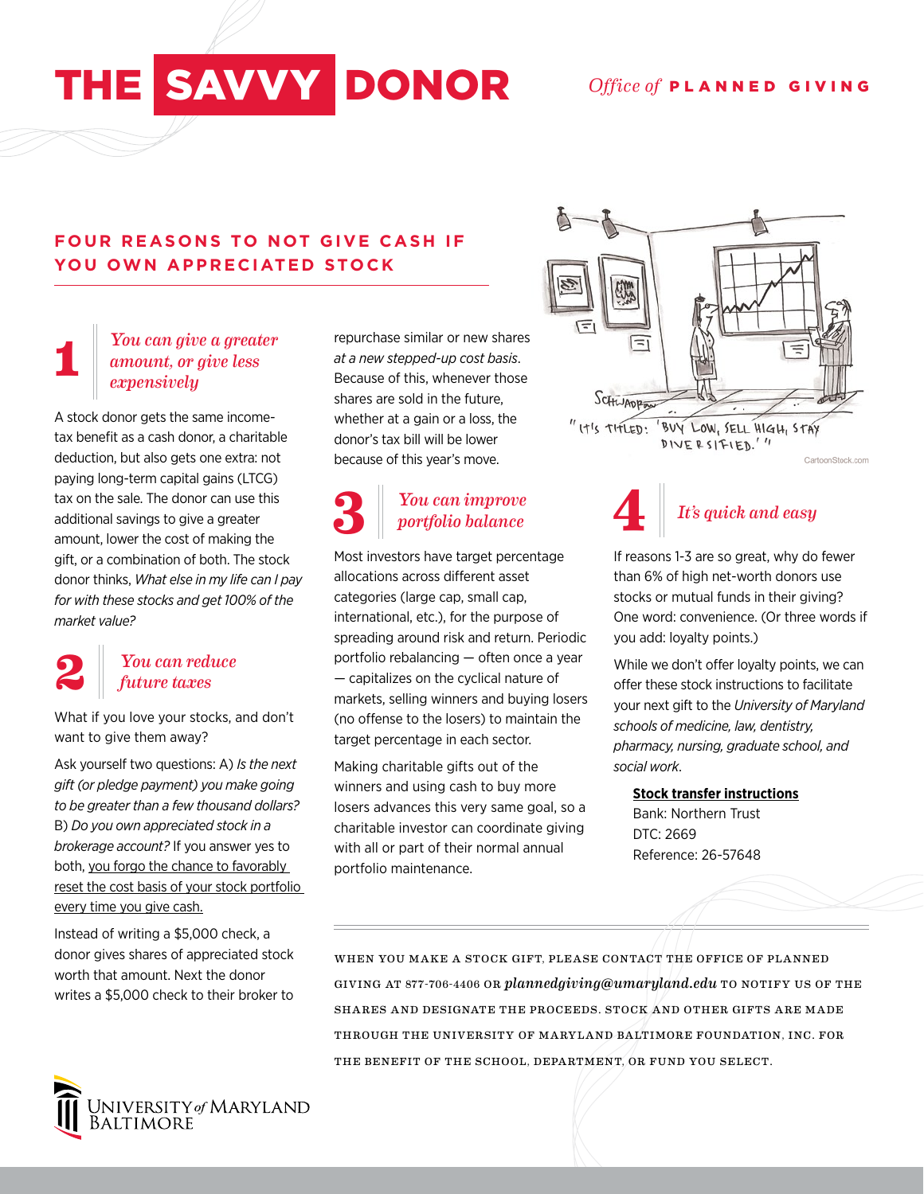# THE SAVVY DONOR Office of PLANNED GIVING

#### **FOUR REASONS TO NOT GIVE CASH IF YOU OWN APPRECIATED STOCK**

#### **1** *You can give a greater amount, or give less expensively*

A stock donor gets the same incometax benefit as a cash donor, a charitable deduction, but also gets one extra: not paying long-term capital gains (LTCG) tax on the sale. The donor can use this additional savings to give a greater amount, lower the cost of making the gift, or a combination of both. The stock donor thinks, *What else in my life can I pay for with these stocks and get 100% of the market value?*

## **2**

#### *You can reduce future taxes*

What if you love your stocks, and don't want to give them away?

Ask yourself two questions: A) *Is the next gift (or pledge payment) you make going to be greater than a few thousand dollars?* B) *Do you own appreciated stock in a brokerage account?* If you answer yes to both, you forgo the chance to favorably reset the cost basis of your stock portfolio every time you give cash.

Instead of writing a \$5,000 check, a donor gives shares of appreciated stock worth that amount. Next the donor writes a \$5,000 check to their broker to



repurchase similar or new shares *at a new stepped-up cost basis*. Because of this, whenever those shares are sold in the future, whether at a gain or a loss, the donor's tax bill will be lower because of this year's move.

### *You can improve portfolio balance*

Most investors have target percentage allocations across different asset categories (large cap, small cap, international, etc.), for the purpose of spreading around risk and return. Periodic portfolio rebalancing — often once a year — capitalizes on the cyclical nature of markets, selling winners and buying losers (no offense to the losers) to maintain the target percentage in each sector.

Making charitable gifts out of the winners and using cash to buy more losers advances this very same goal, so a charitable investor can coordinate giving with all or part of their normal annual portfolio maintenance.



**3** *I It's quick and easy portfolio balance* **4** *It's quick and easy* **4**

> If reasons 1-3 are so great, why do fewer than 6% of high net-worth donors use stocks or mutual funds in their giving? One word: convenience. (Or three words if you add: loyalty points.)

> While we don't offer loyalty points, we can offer these stock instructions to facilitate your next gift to the *University of Maryland schools of medicine, law, dentistry, pharmacy, nursing, graduate school, and social work*.

#### **Stock transfer instructions**

Bank: Northern Trust DTC: 2669 Reference: 26-57648

WHEN YOU MAKE A STOCK GIFT, PLEASE CONTACT THE OFFICE OF PLANNED GIVING AT 877-706-4406 OR *plannedgiving@umaryland.edu* TO NOTIFY US OF THE SHARES AND DESIGNATE THE PROCEEDS. STOCK AND OTHER GIFTS ARE MADE THROUGH THE UNIVERSITY OF MARYLAND BALTIMORE FOUNDATION, INC. FOR THE BENEFIT OF THE SCHOOL, DEPARTMENT, OR FUND YOU SELECT.